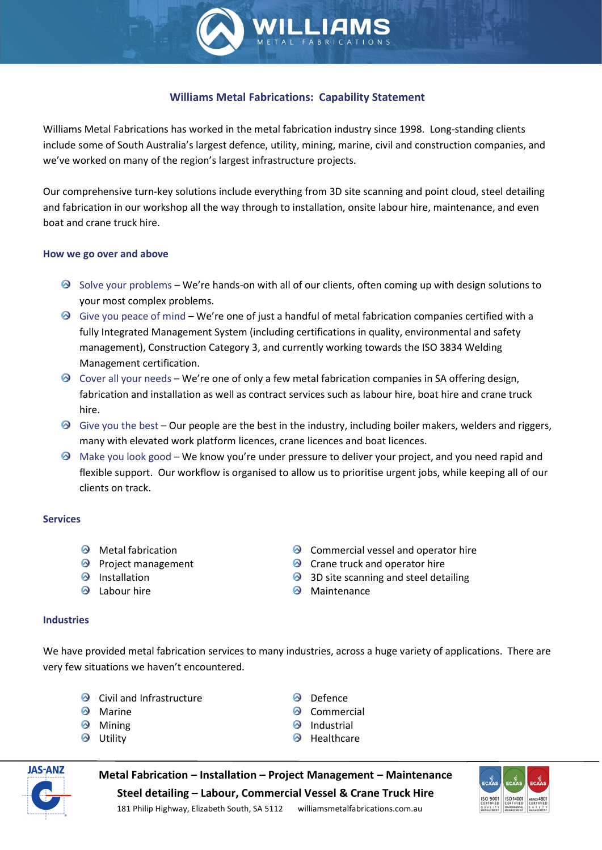

Williams Metal Fabrications has worked in the metal fabrication industry since 1998. Long-standing clients include some of South Australia's largest defence, utility, mining, marine, civil and construction companies, and we've worked on many of the region's largest infrastructure projects.

Our comprehensive turn-key solutions include everything from 3D site scanning and point cloud, steel detailing and fabrication in our workshop all the way through to installation, onsite labour hire, maintenance, and even boat and crane truck hire.

### How we go over and above

- $\odot$  Solve your problems We're hands-on with all of our clients, often coming up with design solutions to your most complex problems.
- $\odot$  Give you peace of mind We're one of just a handful of metal fabrication companies certified with a fully Integrated Management System (including certifications in quality, environmental and safety management), Construction Category 3, and currently working towards the ISO 3834 Welding Management certification.
- $\odot$  Cover all your needs We're one of only a few metal fabrication companies in SA offering design, fabrication and installation as well as contract services such as labour hire, boat hire and crane truck hire.
- $\odot$  Give you the best Our people are the best in the industry, including boiler makers, welders and riggers, many with elevated work platform licences, crane licences and boat licences.
- $\odot$  Make you look good We know you're under pressure to deliver your project, and you need rapid and flexible support. Our workflow is organised to allow us to prioritise urgent jobs, while keeping all of our clients on track.

# **Services**

- $\odot$  Metal fabrication
- **P** Project management
- <sup><sup>O</sup> Installation</sup>
- **Q** Labour hire
- **O** Commercial vessel and operator hire
- $\odot$  Crane truck and operator hire
- <sup>3</sup> 3D site scanning and steel detailing
- $\odot$  Maintenance

### Industries

We have provided metal fabrication services to many industries, across a huge variety of applications. There are very few situations we haven't encountered.

- $\odot$  Civil and Infrastructure
- **Marine**
- **Mining**
- $\odot$  Utility
- **O** Defence
- <sup><sup>O</sup> Commercial</sup>
- <sup><sup>O</sup> Industrial</sup>
- $\Theta$  Healthcare



Metal Fabrication – Installation – Project Management – Maintenance Steel detailing – Labour, Commercial Vessel & Crane Truck Hire



181 Philip Highway, Elizabeth South, SA 5112 williamsmetalfabrications.com.au